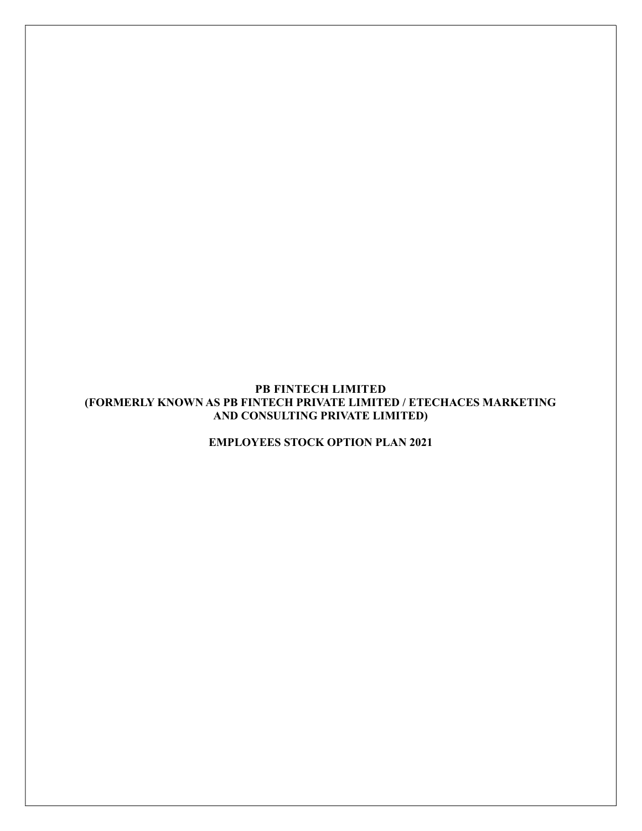## PB FINTECH LIMITED (FORMERLY KNOWN AS PB FINTECH PRIVATE LIMITED / ETECHACES MARKETING AND CONSULTING PRIVATE LIMITED)

EMPLOYEES STOCK OPTION PLAN 2021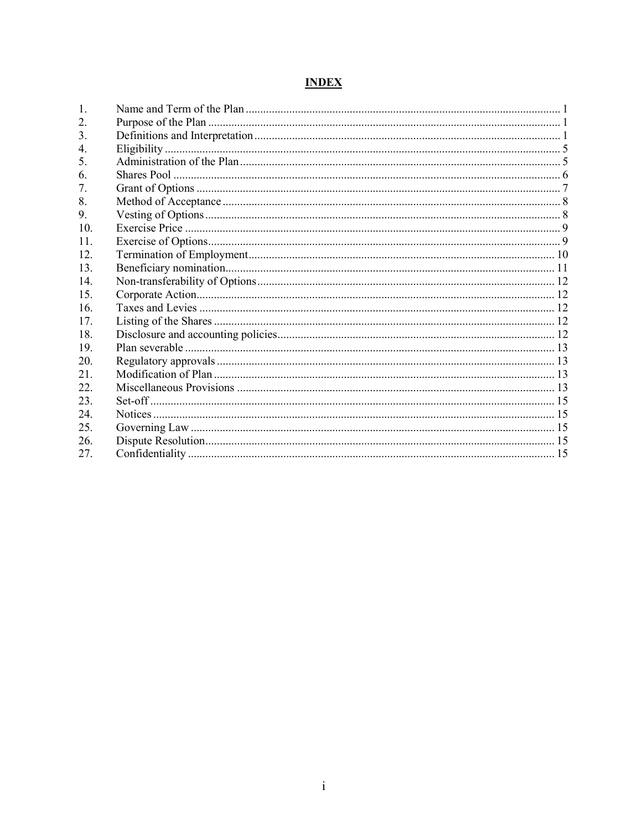# **INDEX**

| 1.              |  |
|-----------------|--|
| 2.              |  |
| 3.              |  |
| 4.              |  |
| 5.              |  |
| 6.              |  |
| 7.              |  |
| 8.              |  |
| 9.              |  |
| 10.             |  |
| 11.             |  |
| 12.             |  |
| 13.             |  |
| 14              |  |
| 15 <sub>1</sub> |  |
| 16.             |  |
| 17.             |  |
| 18.             |  |
| 19.             |  |
| 20.             |  |
| 21.             |  |
| 22.             |  |
| 23.             |  |
| 24.             |  |
| 25.             |  |
| 26.             |  |
| 27.             |  |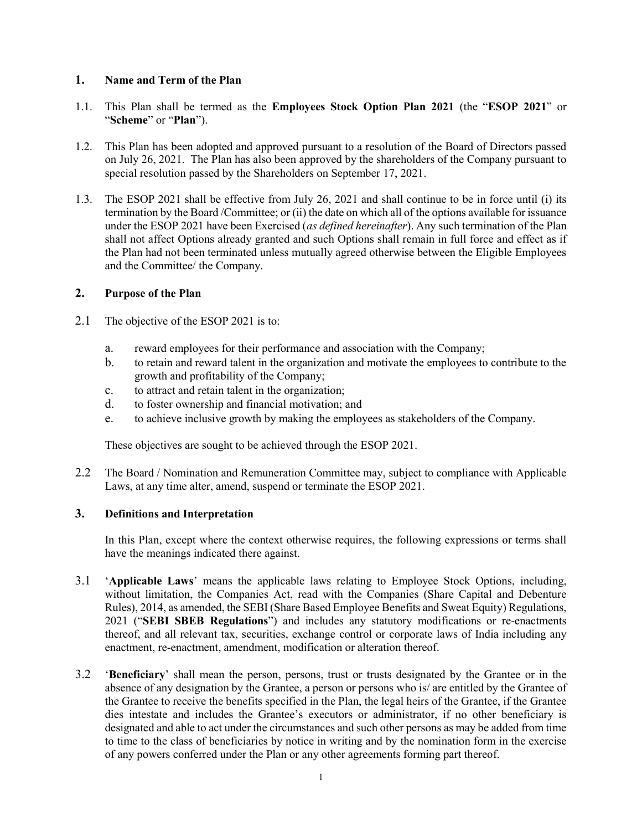## 1. Name and Term of the Plan

- 1.1. This Plan shall be termed as the Employees Stock Option Plan 2021 (the "ESOP 2021" or "Scheme" or "Plan").
- 1.2. This Plan has been adopted and approved pursuant to a resolution of the Board of Directors passed on July 26, 2021. The Plan has also been approved by the shareholders of the Company pursuant to special resolution passed by the Shareholders on September 17, 2021.
- 1.3. The ESOP 2021 shall be effective from July 26, 2021 and shall continue to be in force until (i) its termination by the Board /Committee; or (ii) the date on which all of the options available for issuance under the ESOP 2021 have been Exercised (as defined hereinafter). Any such termination of the Plan shall not affect Options already granted and such Options shall remain in full force and effect as if the Plan had not been terminated unless mutually agreed otherwise between the Eligible Employees and the Committee/ the Company.

#### 2. Purpose of the Plan

- 2.1 The objective of the ESOP 2021 is to:
	- a. reward employees for their performance and association with the Company;
	- b. to retain and reward talent in the organization and motivate the employees to contribute to the growth and profitability of the Company;
	- c. to attract and retain talent in the organization;
	- d. to foster ownership and financial motivation; and
	- e. to achieve inclusive growth by making the employees as stakeholders of the Company.

These objectives are sought to be achieved through the ESOP 2021.

2.2 The Board / Nomination and Remuneration Committee may, subject to compliance with Applicable Laws, at any time alter, amend, suspend or terminate the ESOP 2021.

# 3. Definitions and Interpretation

In this Plan, except where the context otherwise requires, the following expressions or terms shall have the meanings indicated there against.

- 3.1 'Applicable Laws' means the applicable laws relating to Employee Stock Options, including, without limitation, the Companies Act, read with the Companies (Share Capital and Debenture Rules), 2014, as amended, the SEBI (Share Based Employee Benefits and Sweat Equity) Regulations, 2021 ("SEBI SBEB Regulations") and includes any statutory modifications or re-enactments thereof, and all relevant tax, securities, exchange control or corporate laws of India including any enactment, re-enactment, amendment, modification or alteration thereof.
- 3.2 'Beneficiary' shall mean the person, persons, trust or trusts designated by the Grantee or in the absence of any designation by the Grantee, a person or persons who is/ are entitled by the Grantee of the Grantee to receive the benefits specified in the Plan, the legal heirs of the Grantee, if the Grantee dies intestate and includes the Grantee's executors or administrator, if no other beneficiary is designated and able to act under the circumstances and such other persons as may be added from time to time to the class of beneficiaries by notice in writing and by the nomination form in the exercise of any powers conferred under the Plan or any other agreements forming part thereof.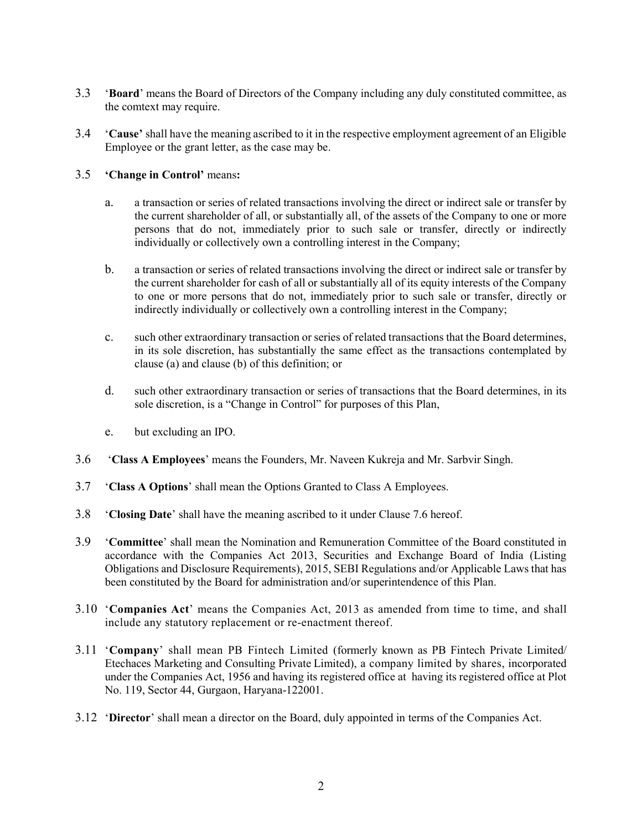- 3.3 'Board' means the Board of Directors of the Company including any duly constituted committee, as the comtext may require.
- 3.4 'Cause' shall have the meaning ascribed to it in the respective employment agreement of an Eligible Employee or the grant letter, as the case may be.

# 3.5 'Change in Control' means:

- a. a transaction or series of related transactions involving the direct or indirect sale or transfer by the current shareholder of all, or substantially all, of the assets of the Company to one or more persons that do not, immediately prior to such sale or transfer, directly or indirectly individually or collectively own a controlling interest in the Company;
- b. a transaction or series of related transactions involving the direct or indirect sale or transfer by the current shareholder for cash of all or substantially all of its equity interests of the Company to one or more persons that do not, immediately prior to such sale or transfer, directly or indirectly individually or collectively own a controlling interest in the Company;
- c. such other extraordinary transaction or series of related transactions that the Board determines, in its sole discretion, has substantially the same effect as the transactions contemplated by clause (a) and clause (b) of this definition; or
- d. such other extraordinary transaction or series of transactions that the Board determines, in its sole discretion, is a "Change in Control" for purposes of this Plan,
- e. but excluding an IPO.
- 3.6 'Class A Employees' means the Founders, Mr. Naveen Kukreja and Mr. Sarbvir Singh.
- 3.7 'Class A Options' shall mean the Options Granted to Class A Employees.
- 3.8 'Closing Date' shall have the meaning ascribed to it under Clause 7.6 hereof.
- 3.9 'Committee' shall mean the Nomination and Remuneration Committee of the Board constituted in accordance with the Companies Act 2013, Securities and Exchange Board of India (Listing Obligations and Disclosure Requirements), 2015, SEBI Regulations and/or Applicable Laws that has been constituted by the Board for administration and/or superintendence of this Plan.
- 3.10 'Companies Act' means the Companies Act, 2013 as amended from time to time, and shall include any statutory replacement or re-enactment thereof.
- 3.11 'Company' shall mean PB Fintech Limited (formerly known as PB Fintech Private Limited/ Etechaces Marketing and Consulting Private Limited), a company limited by shares, incorporated under the Companies Act, 1956 and having its registered office at having its registered office at Plot No. 119, Sector 44, Gurgaon, Haryana-122001.
- 3.12 'Director' shall mean a director on the Board, duly appointed in terms of the Companies Act.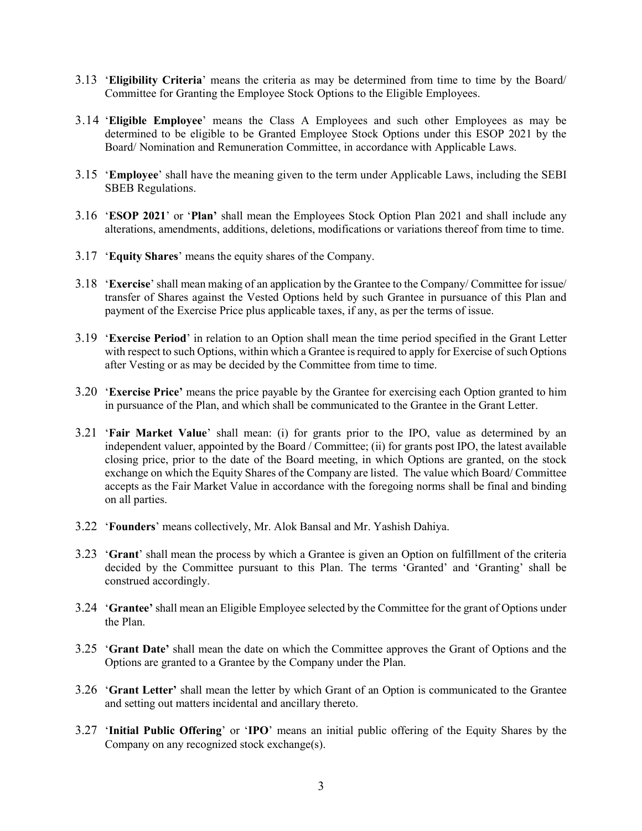- 3.13 'Eligibility Criteria' means the criteria as may be determined from time to time by the Board/ Committee for Granting the Employee Stock Options to the Eligible Employees.
- 3.14 'Eligible Employee' means the Class A Employees and such other Employees as may be determined to be eligible to be Granted Employee Stock Options under this ESOP 2021 by the Board/ Nomination and Remuneration Committee, in accordance with Applicable Laws.
- 3.15 'Employee' shall have the meaning given to the term under Applicable Laws, including the SEBI SBEB Regulations.
- 3.16 'ESOP 2021' or 'Plan' shall mean the Employees Stock Option Plan 2021 and shall include any alterations, amendments, additions, deletions, modifications or variations thereof from time to time.
- 3.17 'Equity Shares' means the equity shares of the Company.
- 3.18 'Exercise' shall mean making of an application by the Grantee to the Company/ Committee for issue/ transfer of Shares against the Vested Options held by such Grantee in pursuance of this Plan and payment of the Exercise Price plus applicable taxes, if any, as per the terms of issue.
- 3.19 'Exercise Period' in relation to an Option shall mean the time period specified in the Grant Letter with respect to such Options, within which a Grantee is required to apply for Exercise of such Options after Vesting or as may be decided by the Committee from time to time.
- 3.20 'Exercise Price' means the price payable by the Grantee for exercising each Option granted to him in pursuance of the Plan, and which shall be communicated to the Grantee in the Grant Letter.
- 3.21 'Fair Market Value' shall mean: (i) for grants prior to the IPO, value as determined by an independent valuer, appointed by the Board / Committee; (ii) for grants post IPO, the latest available closing price, prior to the date of the Board meeting, in which Options are granted, on the stock exchange on which the Equity Shares of the Company are listed. The value which Board/ Committee accepts as the Fair Market Value in accordance with the foregoing norms shall be final and binding on all parties.
- 3.22 'Founders' means collectively, Mr. Alok Bansal and Mr. Yashish Dahiya.
- 3.23 'Grant' shall mean the process by which a Grantee is given an Option on fulfillment of the criteria decided by the Committee pursuant to this Plan. The terms 'Granted' and 'Granting' shall be construed accordingly.
- 3.24 'Grantee' shall mean an Eligible Employee selected by the Committee for the grant of Options under the Plan.
- 3.25 'Grant Date' shall mean the date on which the Committee approves the Grant of Options and the Options are granted to a Grantee by the Company under the Plan.
- 3.26 'Grant Letter' shall mean the letter by which Grant of an Option is communicated to the Grantee and setting out matters incidental and ancillary thereto.
- 3.27 'Initial Public Offering' or 'IPO' means an initial public offering of the Equity Shares by the Company on any recognized stock exchange(s).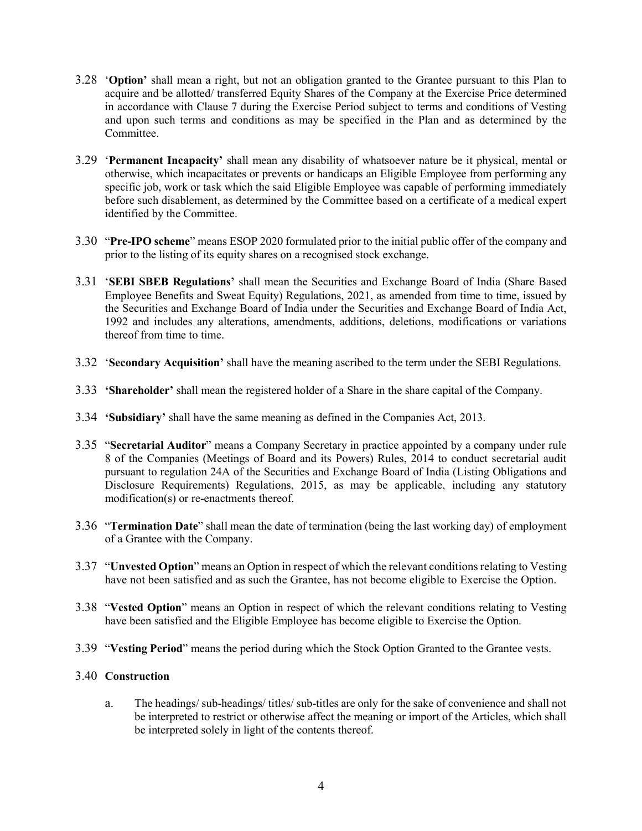- 3.28 'Option' shall mean a right, but not an obligation granted to the Grantee pursuant to this Plan to acquire and be allotted/ transferred Equity Shares of the Company at the Exercise Price determined in accordance with Clause 7 during the Exercise Period subject to terms and conditions of Vesting and upon such terms and conditions as may be specified in the Plan and as determined by the Committee.
- 3.29 'Permanent Incapacity' shall mean any disability of whatsoever nature be it physical, mental or otherwise, which incapacitates or prevents or handicaps an Eligible Employee from performing any specific job, work or task which the said Eligible Employee was capable of performing immediately before such disablement, as determined by the Committee based on a certificate of a medical expert identified by the Committee.
- 3.30 "Pre-IPO scheme" means ESOP 2020 formulated prior to the initial public offer of the company and prior to the listing of its equity shares on a recognised stock exchange.
- 3.31 'SEBI SBEB Regulations' shall mean the Securities and Exchange Board of India (Share Based Employee Benefits and Sweat Equity) Regulations, 2021, as amended from time to time, issued by the Securities and Exchange Board of India under the Securities and Exchange Board of India Act, 1992 and includes any alterations, amendments, additions, deletions, modifications or variations thereof from time to time.
- 3.32 'Secondary Acquisition' shall have the meaning ascribed to the term under the SEBI Regulations.
- 3.33 'Shareholder' shall mean the registered holder of a Share in the share capital of the Company.
- 3.34 'Subsidiary' shall have the same meaning as defined in the Companies Act, 2013.
- 3.35 "Secretarial Auditor" means a Company Secretary in practice appointed by a company under rule 8 of the Companies (Meetings of Board and its Powers) Rules, 2014 to conduct secretarial audit pursuant to regulation 24A of the Securities and Exchange Board of India (Listing Obligations and Disclosure Requirements) Regulations, 2015, as may be applicable, including any statutory modification(s) or re-enactments thereof.
- 3.36 "Termination Date" shall mean the date of termination (being the last working day) of employment of a Grantee with the Company.
- 3.37 "Unvested Option" means an Option in respect of which the relevant conditions relating to Vesting have not been satisfied and as such the Grantee, has not become eligible to Exercise the Option.
- 3.38 "Vested Option" means an Option in respect of which the relevant conditions relating to Vesting have been satisfied and the Eligible Employee has become eligible to Exercise the Option.
- 3.39 "Vesting Period" means the period during which the Stock Option Granted to the Grantee vests.

#### 3.40 Construction

a. The headings/ sub-headings/ titles/ sub-titles are only for the sake of convenience and shall not be interpreted to restrict or otherwise affect the meaning or import of the Articles, which shall be interpreted solely in light of the contents thereof.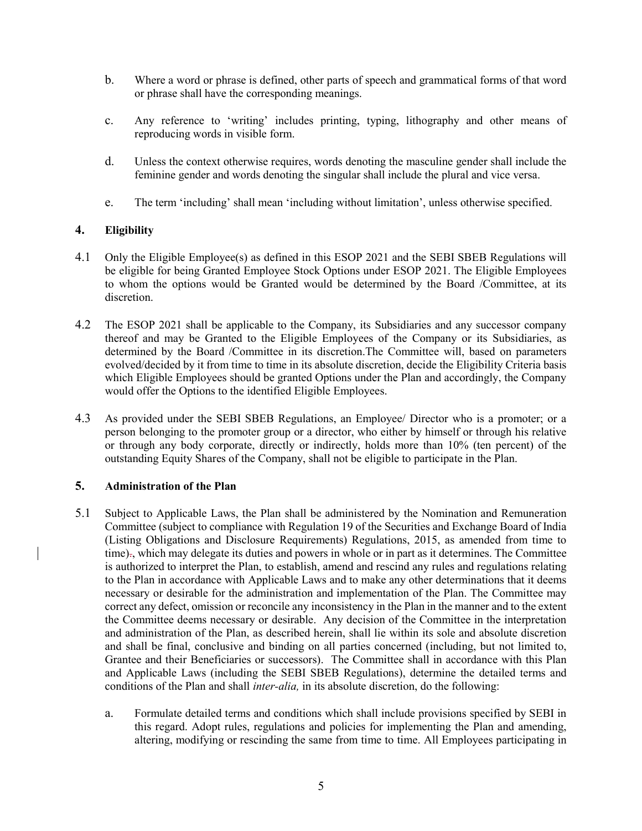- b. Where a word or phrase is defined, other parts of speech and grammatical forms of that word or phrase shall have the corresponding meanings.
- c. Any reference to 'writing' includes printing, typing, lithography and other means of reproducing words in visible form.
- d. Unless the context otherwise requires, words denoting the masculine gender shall include the feminine gender and words denoting the singular shall include the plural and vice versa.
- e. The term 'including' shall mean 'including without limitation', unless otherwise specified.

#### 4. Eligibility

- 4.1 Only the Eligible Employee(s) as defined in this ESOP 2021 and the SEBI SBEB Regulations will be eligible for being Granted Employee Stock Options under ESOP 2021. The Eligible Employees to whom the options would be Granted would be determined by the Board /Committee, at its discretion.
- 4.2 The ESOP 2021 shall be applicable to the Company, its Subsidiaries and any successor company thereof and may be Granted to the Eligible Employees of the Company or its Subsidiaries, as determined by the Board /Committee in its discretion.The Committee will, based on parameters evolved/decided by it from time to time in its absolute discretion, decide the Eligibility Criteria basis which Eligible Employees should be granted Options under the Plan and accordingly, the Company would offer the Options to the identified Eligible Employees.
- 4.3 As provided under the SEBI SBEB Regulations, an Employee/ Director who is a promoter; or a person belonging to the promoter group or a director, who either by himself or through his relative or through any body corporate, directly or indirectly, holds more than 10% (ten percent) of the outstanding Equity Shares of the Company, shall not be eligible to participate in the Plan.

## 5. Administration of the Plan

- 5.1 Subject to Applicable Laws, the Plan shall be administered by the Nomination and Remuneration Committee (subject to compliance with Regulation 19 of the Securities and Exchange Board of India (Listing Obligations and Disclosure Requirements) Regulations, 2015, as amended from time to time)., which may delegate its duties and powers in whole or in part as it determines. The Committee is authorized to interpret the Plan, to establish, amend and rescind any rules and regulations relating to the Plan in accordance with Applicable Laws and to make any other determinations that it deems necessary or desirable for the administration and implementation of the Plan. The Committee may correct any defect, omission or reconcile any inconsistency in the Plan in the manner and to the extent the Committee deems necessary or desirable. Any decision of the Committee in the interpretation and administration of the Plan, as described herein, shall lie within its sole and absolute discretion and shall be final, conclusive and binding on all parties concerned (including, but not limited to, Grantee and their Beneficiaries or successors). The Committee shall in accordance with this Plan and Applicable Laws (including the SEBI SBEB Regulations), determine the detailed terms and conditions of the Plan and shall inter-alia, in its absolute discretion, do the following:
	- a. Formulate detailed terms and conditions which shall include provisions specified by SEBI in this regard. Adopt rules, regulations and policies for implementing the Plan and amending, altering, modifying or rescinding the same from time to time. All Employees participating in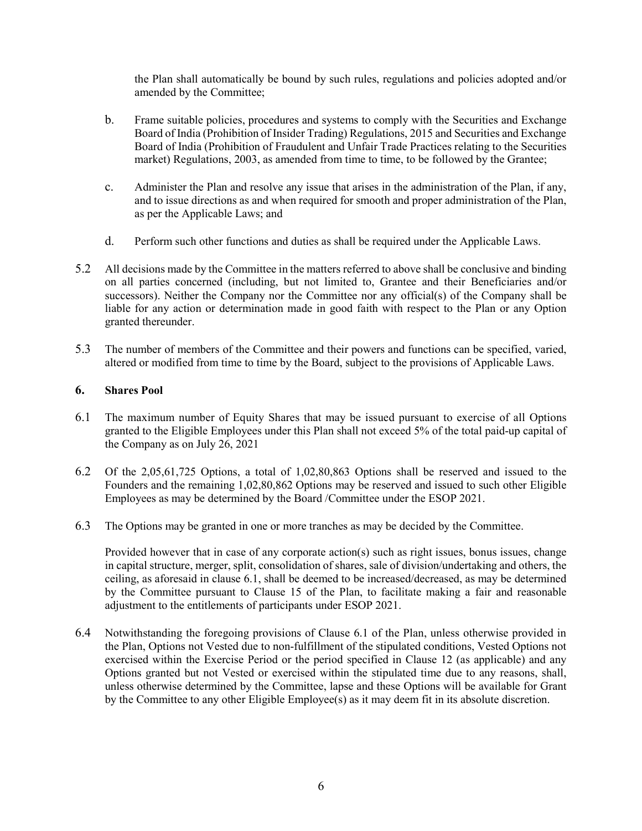the Plan shall automatically be bound by such rules, regulations and policies adopted and/or amended by the Committee;

- b. Frame suitable policies, procedures and systems to comply with the Securities and Exchange Board of India (Prohibition of Insider Trading) Regulations, 2015 and Securities and Exchange Board of India (Prohibition of Fraudulent and Unfair Trade Practices relating to the Securities market) Regulations, 2003, as amended from time to time, to be followed by the Grantee;
- c. Administer the Plan and resolve any issue that arises in the administration of the Plan, if any, and to issue directions as and when required for smooth and proper administration of the Plan, as per the Applicable Laws; and
- d. Perform such other functions and duties as shall be required under the Applicable Laws.
- 5.2 All decisions made by the Committee in the matters referred to above shall be conclusive and binding on all parties concerned (including, but not limited to, Grantee and their Beneficiaries and/or successors). Neither the Company nor the Committee nor any official(s) of the Company shall be liable for any action or determination made in good faith with respect to the Plan or any Option granted thereunder.
- 5.3 The number of members of the Committee and their powers and functions can be specified, varied, altered or modified from time to time by the Board, subject to the provisions of Applicable Laws.

# 6. Shares Pool

- 6.1 The maximum number of Equity Shares that may be issued pursuant to exercise of all Options granted to the Eligible Employees under this Plan shall not exceed 5% of the total paid-up capital of the Company as on July 26, 2021
- 6.2 Of the 2,05,61,725 Options, a total of 1,02,80,863 Options shall be reserved and issued to the Founders and the remaining 1,02,80,862 Options may be reserved and issued to such other Eligible Employees as may be determined by the Board /Committee under the ESOP 2021.
- 6.3 The Options may be granted in one or more tranches as may be decided by the Committee.

Provided however that in case of any corporate action(s) such as right issues, bonus issues, change in capital structure, merger, split, consolidation of shares, sale of division/undertaking and others, the ceiling, as aforesaid in clause 6.1, shall be deemed to be increased/decreased, as may be determined by the Committee pursuant to Clause 15 of the Plan, to facilitate making a fair and reasonable adjustment to the entitlements of participants under ESOP 2021.

6.4 Notwithstanding the foregoing provisions of Clause 6.1 of the Plan, unless otherwise provided in the Plan, Options not Vested due to non-fulfillment of the stipulated conditions, Vested Options not exercised within the Exercise Period or the period specified in Clause 12 (as applicable) and any Options granted but not Vested or exercised within the stipulated time due to any reasons, shall, unless otherwise determined by the Committee, lapse and these Options will be available for Grant by the Committee to any other Eligible Employee(s) as it may deem fit in its absolute discretion.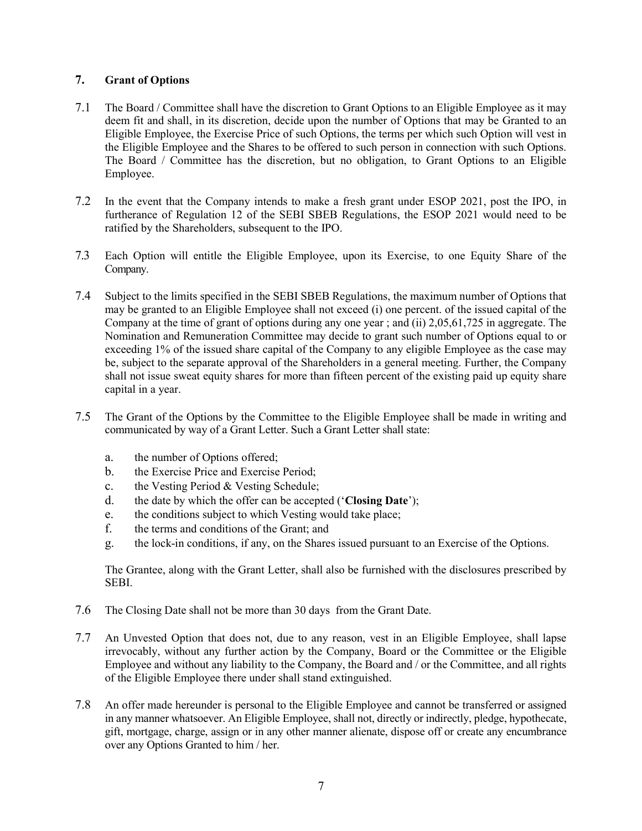# 7. Grant of Options

- 7.1 The Board / Committee shall have the discretion to Grant Options to an Eligible Employee as it may deem fit and shall, in its discretion, decide upon the number of Options that may be Granted to an Eligible Employee, the Exercise Price of such Options, the terms per which such Option will vest in the Eligible Employee and the Shares to be offered to such person in connection with such Options. The Board / Committee has the discretion, but no obligation, to Grant Options to an Eligible Employee.
- 7.2 In the event that the Company intends to make a fresh grant under ESOP 2021, post the IPO, in furtherance of Regulation 12 of the SEBI SBEB Regulations, the ESOP 2021 would need to be ratified by the Shareholders, subsequent to the IPO.
- 7.3 Each Option will entitle the Eligible Employee, upon its Exercise, to one Equity Share of the Company.
- 7.4 Subject to the limits specified in the SEBI SBEB Regulations, the maximum number of Options that may be granted to an Eligible Employee shall not exceed (i) one percent. of the issued capital of the Company at the time of grant of options during any one year ; and (ii) 2,05,61,725 in aggregate. The Nomination and Remuneration Committee may decide to grant such number of Options equal to or exceeding 1% of the issued share capital of the Company to any eligible Employee as the case may be, subject to the separate approval of the Shareholders in a general meeting. Further, the Company shall not issue sweat equity shares for more than fifteen percent of the existing paid up equity share capital in a year.
- 7.5 The Grant of the Options by the Committee to the Eligible Employee shall be made in writing and communicated by way of a Grant Letter. Such a Grant Letter shall state:
	- a. the number of Options offered;
	- b. the Exercise Price and Exercise Period;
	- c. the Vesting Period & Vesting Schedule;
	- d. the date by which the offer can be accepted ('Closing Date');
	- e. the conditions subject to which Vesting would take place;
	- f. the terms and conditions of the Grant; and
	- g. the lock-in conditions, if any, on the Shares issued pursuant to an Exercise of the Options.

The Grantee, along with the Grant Letter, shall also be furnished with the disclosures prescribed by SEBI.

- 7.6 The Closing Date shall not be more than 30 days from the Grant Date.
- 7.7 An Unvested Option that does not, due to any reason, vest in an Eligible Employee, shall lapse irrevocably, without any further action by the Company, Board or the Committee or the Eligible Employee and without any liability to the Company, the Board and / or the Committee, and all rights of the Eligible Employee there under shall stand extinguished.
- 7.8 An offer made hereunder is personal to the Eligible Employee and cannot be transferred or assigned in any manner whatsoever. An Eligible Employee, shall not, directly or indirectly, pledge, hypothecate, gift, mortgage, charge, assign or in any other manner alienate, dispose off or create any encumbrance over any Options Granted to him / her.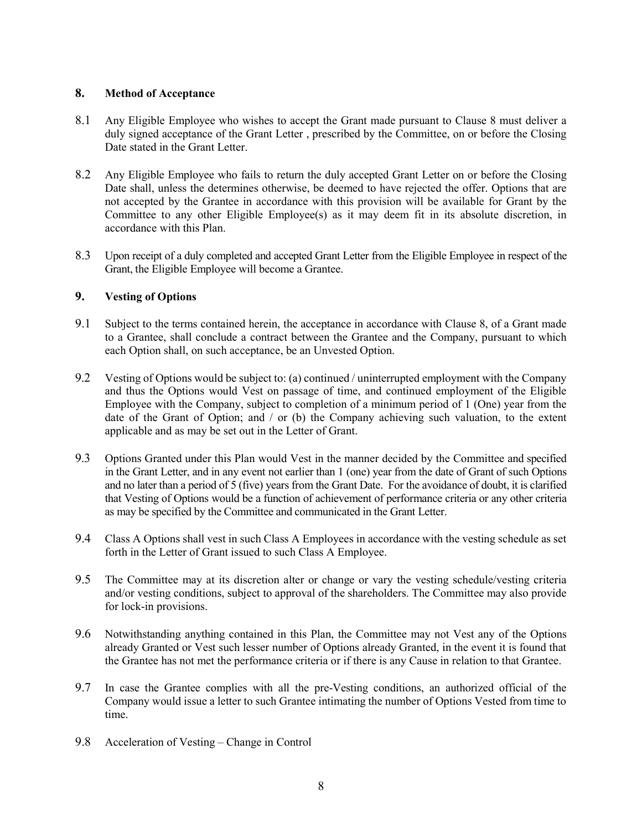#### 8. Method of Acceptance

- 8.1 Any Eligible Employee who wishes to accept the Grant made pursuant to Clause 8 must deliver a duly signed acceptance of the Grant Letter , prescribed by the Committee, on or before the Closing Date stated in the Grant Letter.
- 8.2 Any Eligible Employee who fails to return the duly accepted Grant Letter on or before the Closing Date shall, unless the determines otherwise, be deemed to have rejected the offer. Options that are not accepted by the Grantee in accordance with this provision will be available for Grant by the Committee to any other Eligible Employee(s) as it may deem fit in its absolute discretion, in accordance with this Plan.
- 8.3 Upon receipt of a duly completed and accepted Grant Letter from the Eligible Employee in respect of the Grant, the Eligible Employee will become a Grantee.

## 9. Vesting of Options

- 9.1 Subject to the terms contained herein, the acceptance in accordance with Clause 8, of a Grant made to a Grantee, shall conclude a contract between the Grantee and the Company, pursuant to which each Option shall, on such acceptance, be an Unvested Option.
- 9.2 Vesting of Options would be subject to: (a) continued / uninterrupted employment with the Company and thus the Options would Vest on passage of time, and continued employment of the Eligible Employee with the Company, subject to completion of a minimum period of 1 (One) year from the date of the Grant of Option; and / or (b) the Company achieving such valuation, to the extent applicable and as may be set out in the Letter of Grant.
- 9.3 Options Granted under this Plan would Vest in the manner decided by the Committee and specified in the Grant Letter, and in any event not earlier than 1 (one) year from the date of Grant of such Options and no later than a period of 5 (five) years from the Grant Date. For the avoidance of doubt, it is clarified that Vesting of Options would be a function of achievement of performance criteria or any other criteria as may be specified by the Committee and communicated in the Grant Letter.
- 9.4 Class A Options shall vest in such Class A Employees in accordance with the vesting schedule as set forth in the Letter of Grant issued to such Class A Employee.
- 9.5 The Committee may at its discretion alter or change or vary the vesting schedule/vesting criteria and/or vesting conditions, subject to approval of the shareholders. The Committee may also provide for lock-in provisions.
- 9.6 Notwithstanding anything contained in this Plan, the Committee may not Vest any of the Options already Granted or Vest such lesser number of Options already Granted, in the event it is found that the Grantee has not met the performance criteria or if there is any Cause in relation to that Grantee.
- 9.7 In case the Grantee complies with all the pre-Vesting conditions, an authorized official of the Company would issue a letter to such Grantee intimating the number of Options Vested from time to time.
- 9.8 Acceleration of Vesting Change in Control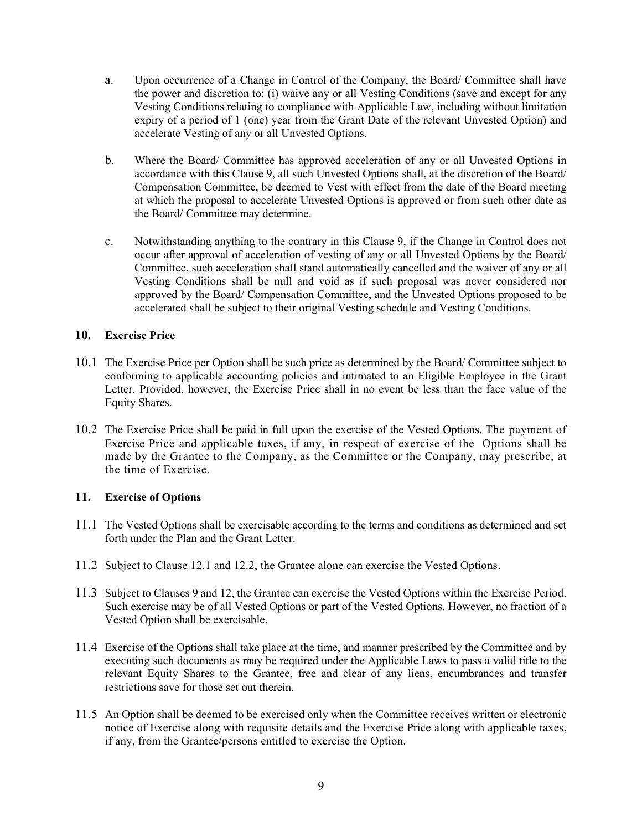- a. Upon occurrence of a Change in Control of the Company, the Board/ Committee shall have the power and discretion to: (i) waive any or all Vesting Conditions (save and except for any Vesting Conditions relating to compliance with Applicable Law, including without limitation expiry of a period of 1 (one) year from the Grant Date of the relevant Unvested Option) and accelerate Vesting of any or all Unvested Options.
- b. Where the Board/ Committee has approved acceleration of any or all Unvested Options in accordance with this Clause 9, all such Unvested Options shall, at the discretion of the Board/ Compensation Committee, be deemed to Vest with effect from the date of the Board meeting at which the proposal to accelerate Unvested Options is approved or from such other date as the Board/ Committee may determine.
- c. Notwithstanding anything to the contrary in this Clause 9, if the Change in Control does not occur after approval of acceleration of vesting of any or all Unvested Options by the Board/ Committee, such acceleration shall stand automatically cancelled and the waiver of any or all Vesting Conditions shall be null and void as if such proposal was never considered nor approved by the Board/ Compensation Committee, and the Unvested Options proposed to be accelerated shall be subject to their original Vesting schedule and Vesting Conditions.

## 10. Exercise Price

- 10.1 The Exercise Price per Option shall be such price as determined by the Board/ Committee subject to conforming to applicable accounting policies and intimated to an Eligible Employee in the Grant Letter. Provided, however, the Exercise Price shall in no event be less than the face value of the Equity Shares.
- 10.2 The Exercise Price shall be paid in full upon the exercise of the Vested Options. The payment of Exercise Price and applicable taxes, if any, in respect of exercise of the Options shall be made by the Grantee to the Company, as the Committee or the Company, may prescribe, at the time of Exercise.

# 11. Exercise of Options

- 11.1 The Vested Options shall be exercisable according to the terms and conditions as determined and set forth under the Plan and the Grant Letter.
- 11.2 Subject to Clause 12.1 and 12.2, the Grantee alone can exercise the Vested Options.
- 11.3 Subject to Clauses 9 and 12, the Grantee can exercise the Vested Options within the Exercise Period. Such exercise may be of all Vested Options or part of the Vested Options. However, no fraction of a Vested Option shall be exercisable.
- 11.4 Exercise of the Options shall take place at the time, and manner prescribed by the Committee and by executing such documents as may be required under the Applicable Laws to pass a valid title to the relevant Equity Shares to the Grantee, free and clear of any liens, encumbrances and transfer restrictions save for those set out therein.
- 11.5 An Option shall be deemed to be exercised only when the Committee receives written or electronic notice of Exercise along with requisite details and the Exercise Price along with applicable taxes, if any, from the Grantee/persons entitled to exercise the Option.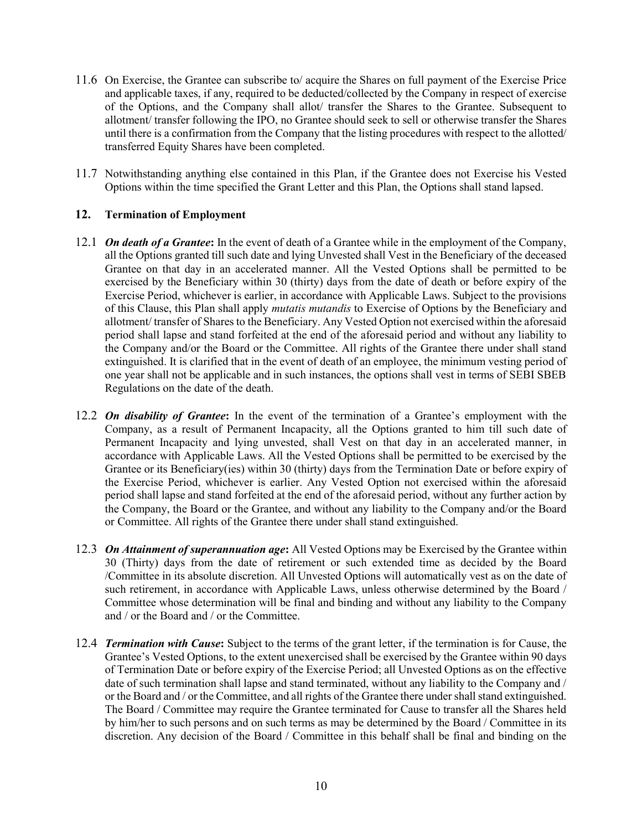- 11.6 On Exercise, the Grantee can subscribe to/ acquire the Shares on full payment of the Exercise Price and applicable taxes, if any, required to be deducted/collected by the Company in respect of exercise of the Options, and the Company shall allot/ transfer the Shares to the Grantee. Subsequent to allotment/ transfer following the IPO, no Grantee should seek to sell or otherwise transfer the Shares until there is a confirmation from the Company that the listing procedures with respect to the allotted/ transferred Equity Shares have been completed.
- 11.7 Notwithstanding anything else contained in this Plan, if the Grantee does not Exercise his Vested Options within the time specified the Grant Letter and this Plan, the Options shall stand lapsed.

## 12. Termination of Employment

- 12.1 On death of a Grantee: In the event of death of a Grantee while in the employment of the Company, all the Options granted till such date and lying Unvested shall Vest in the Beneficiary of the deceased Grantee on that day in an accelerated manner. All the Vested Options shall be permitted to be exercised by the Beneficiary within 30 (thirty) days from the date of death or before expiry of the Exercise Period, whichever is earlier, in accordance with Applicable Laws. Subject to the provisions of this Clause, this Plan shall apply mutatis mutandis to Exercise of Options by the Beneficiary and allotment/ transfer of Shares to the Beneficiary. Any Vested Option not exercised within the aforesaid period shall lapse and stand forfeited at the end of the aforesaid period and without any liability to the Company and/or the Board or the Committee. All rights of the Grantee there under shall stand extinguished. It is clarified that in the event of death of an employee, the minimum vesting period of one year shall not be applicable and in such instances, the options shall vest in terms of SEBI SBEB Regulations on the date of the death.
- 12.2 On disability of Grantee: In the event of the termination of a Grantee's employment with the Company, as a result of Permanent Incapacity, all the Options granted to him till such date of Permanent Incapacity and lying unvested, shall Vest on that day in an accelerated manner, in accordance with Applicable Laws. All the Vested Options shall be permitted to be exercised by the Grantee or its Beneficiary(ies) within 30 (thirty) days from the Termination Date or before expiry of the Exercise Period, whichever is earlier. Any Vested Option not exercised within the aforesaid period shall lapse and stand forfeited at the end of the aforesaid period, without any further action by the Company, the Board or the Grantee, and without any liability to the Company and/or the Board or Committee. All rights of the Grantee there under shall stand extinguished.
- 12.3 On Attainment of superannuation age: All Vested Options may be Exercised by the Grantee within 30 (Thirty) days from the date of retirement or such extended time as decided by the Board /Committee in its absolute discretion. All Unvested Options will automatically vest as on the date of such retirement, in accordance with Applicable Laws, unless otherwise determined by the Board / Committee whose determination will be final and binding and without any liability to the Company and / or the Board and / or the Committee.
- 12.4 Termination with Cause: Subject to the terms of the grant letter, if the termination is for Cause, the Grantee's Vested Options, to the extent unexercised shall be exercised by the Grantee within 90 days of Termination Date or before expiry of the Exercise Period; all Unvested Options as on the effective date of such termination shall lapse and stand terminated, without any liability to the Company and / or the Board and / or the Committee, and all rights of the Grantee there under shall stand extinguished. The Board / Committee may require the Grantee terminated for Cause to transfer all the Shares held by him/her to such persons and on such terms as may be determined by the Board / Committee in its discretion. Any decision of the Board / Committee in this behalf shall be final and binding on the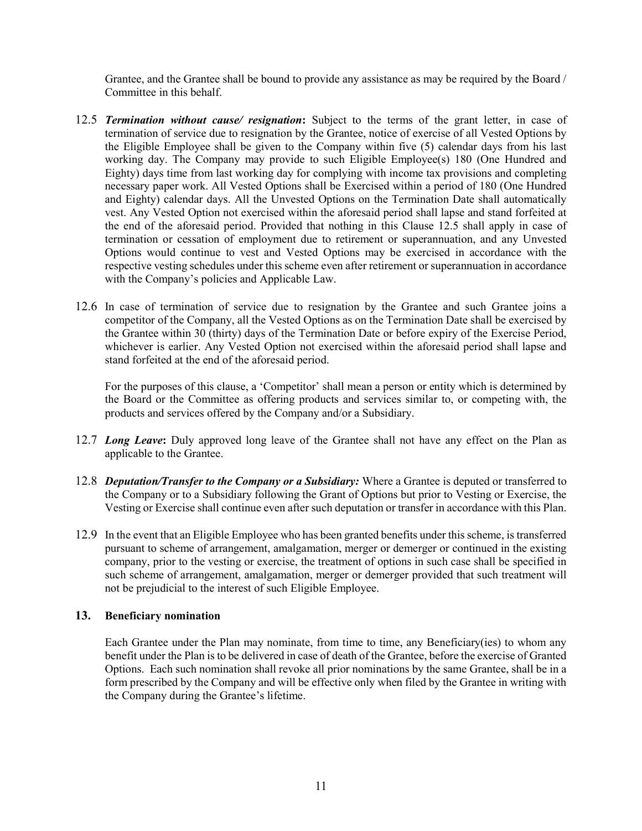Grantee, and the Grantee shall be bound to provide any assistance as may be required by the Board / Committee in this behalf.

- 12.5 Termination without cause/ resignation: Subject to the terms of the grant letter, in case of termination of service due to resignation by the Grantee, notice of exercise of all Vested Options by the Eligible Employee shall be given to the Company within five (5) calendar days from his last working day. The Company may provide to such Eligible Employee(s) 180 (One Hundred and Eighty) days time from last working day for complying with income tax provisions and completing necessary paper work. All Vested Options shall be Exercised within a period of 180 (One Hundred and Eighty) calendar days. All the Unvested Options on the Termination Date shall automatically vest. Any Vested Option not exercised within the aforesaid period shall lapse and stand forfeited at the end of the aforesaid period. Provided that nothing in this Clause 12.5 shall apply in case of termination or cessation of employment due to retirement or superannuation, and any Unvested Options would continue to vest and Vested Options may be exercised in accordance with the respective vesting schedules under this scheme even after retirement or superannuation in accordance with the Company's policies and Applicable Law.
- 12.6 In case of termination of service due to resignation by the Grantee and such Grantee joins a competitor of the Company, all the Vested Options as on the Termination Date shall be exercised by the Grantee within 30 (thirty) days of the Termination Date or before expiry of the Exercise Period, whichever is earlier. Any Vested Option not exercised within the aforesaid period shall lapse and stand forfeited at the end of the aforesaid period.

For the purposes of this clause, a 'Competitor' shall mean a person or entity which is determined by the Board or the Committee as offering products and services similar to, or competing with, the products and services offered by the Company and/or a Subsidiary.

- 12.7 Long Leave: Duly approved long leave of the Grantee shall not have any effect on the Plan as applicable to the Grantee.
- 12.8 Deputation/Transfer to the Company or a Subsidiary: Where a Grantee is deputed or transferred to the Company or to a Subsidiary following the Grant of Options but prior to Vesting or Exercise, the Vesting or Exercise shall continue even after such deputation or transfer in accordance with this Plan.
- 12.9 In the event that an Eligible Employee who has been granted benefits under this scheme, is transferred pursuant to scheme of arrangement, amalgamation, merger or demerger or continued in the existing company, prior to the vesting or exercise, the treatment of options in such case shall be specified in such scheme of arrangement, amalgamation, merger or demerger provided that such treatment will not be prejudicial to the interest of such Eligible Employee.

#### 13. Beneficiary nomination

Each Grantee under the Plan may nominate, from time to time, any Beneficiary(ies) to whom any benefit under the Plan is to be delivered in case of death of the Grantee, before the exercise of Granted Options. Each such nomination shall revoke all prior nominations by the same Grantee, shall be in a form prescribed by the Company and will be effective only when filed by the Grantee in writing with the Company during the Grantee's lifetime.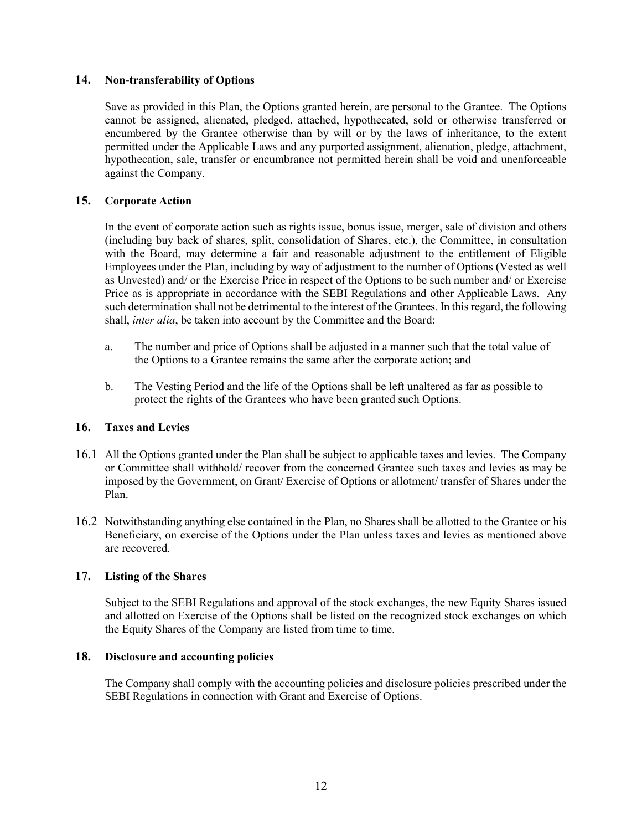#### 14. Non-transferability of Options

Save as provided in this Plan, the Options granted herein, are personal to the Grantee. The Options cannot be assigned, alienated, pledged, attached, hypothecated, sold or otherwise transferred or encumbered by the Grantee otherwise than by will or by the laws of inheritance, to the extent permitted under the Applicable Laws and any purported assignment, alienation, pledge, attachment, hypothecation, sale, transfer or encumbrance not permitted herein shall be void and unenforceable against the Company.

## 15. Corporate Action

In the event of corporate action such as rights issue, bonus issue, merger, sale of division and others (including buy back of shares, split, consolidation of Shares, etc.), the Committee, in consultation with the Board, may determine a fair and reasonable adjustment to the entitlement of Eligible Employees under the Plan, including by way of adjustment to the number of Options (Vested as well as Unvested) and/ or the Exercise Price in respect of the Options to be such number and/ or Exercise Price as is appropriate in accordance with the SEBI Regulations and other Applicable Laws. Any such determination shall not be detrimental to the interest of the Grantees. In this regard, the following shall, inter alia, be taken into account by the Committee and the Board:

- a. The number and price of Options shall be adjusted in a manner such that the total value of the Options to a Grantee remains the same after the corporate action; and
- b. The Vesting Period and the life of the Options shall be left unaltered as far as possible to protect the rights of the Grantees who have been granted such Options.

#### 16. Taxes and Levies

- 16.1 All the Options granted under the Plan shall be subject to applicable taxes and levies. The Company or Committee shall withhold/ recover from the concerned Grantee such taxes and levies as may be imposed by the Government, on Grant/ Exercise of Options or allotment/ transfer of Shares under the Plan.
- 16.2 Notwithstanding anything else contained in the Plan, no Shares shall be allotted to the Grantee or his Beneficiary, on exercise of the Options under the Plan unless taxes and levies as mentioned above are recovered.

#### 17. Listing of the Shares

Subject to the SEBI Regulations and approval of the stock exchanges, the new Equity Shares issued and allotted on Exercise of the Options shall be listed on the recognized stock exchanges on which the Equity Shares of the Company are listed from time to time.

#### 18. Disclosure and accounting policies

The Company shall comply with the accounting policies and disclosure policies prescribed under the SEBI Regulations in connection with Grant and Exercise of Options.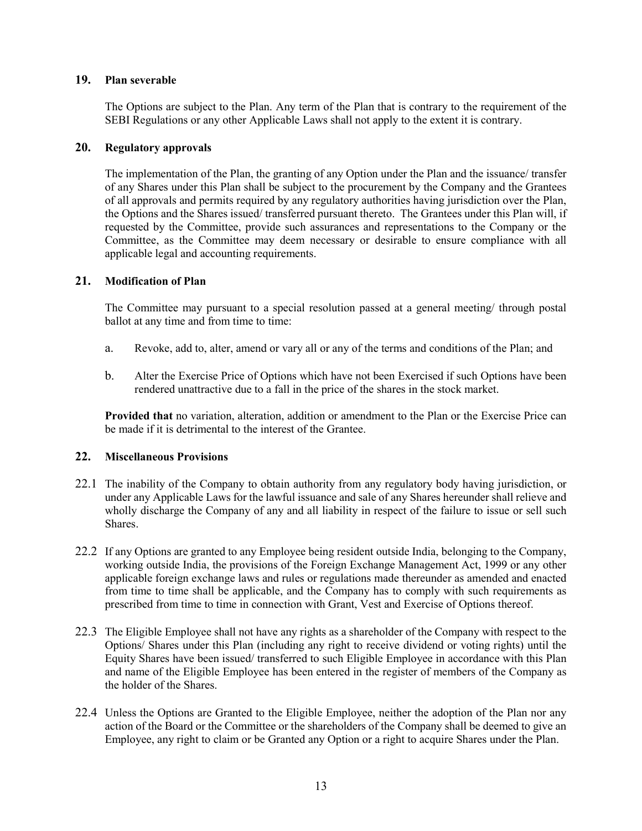#### 19. Plan severable

The Options are subject to the Plan. Any term of the Plan that is contrary to the requirement of the SEBI Regulations or any other Applicable Laws shall not apply to the extent it is contrary.

#### 20. Regulatory approvals

The implementation of the Plan, the granting of any Option under the Plan and the issuance/ transfer of any Shares under this Plan shall be subject to the procurement by the Company and the Grantees of all approvals and permits required by any regulatory authorities having jurisdiction over the Plan, the Options and the Shares issued/ transferred pursuant thereto. The Grantees under this Plan will, if requested by the Committee, provide such assurances and representations to the Company or the Committee, as the Committee may deem necessary or desirable to ensure compliance with all applicable legal and accounting requirements.

## 21. Modification of Plan

The Committee may pursuant to a special resolution passed at a general meeting/ through postal ballot at any time and from time to time:

- a. Revoke, add to, alter, amend or vary all or any of the terms and conditions of the Plan; and
- b. Alter the Exercise Price of Options which have not been Exercised if such Options have been rendered unattractive due to a fall in the price of the shares in the stock market.

Provided that no variation, alteration, addition or amendment to the Plan or the Exercise Price can be made if it is detrimental to the interest of the Grantee.

# 22. Miscellaneous Provisions

- 22.1 The inability of the Company to obtain authority from any regulatory body having jurisdiction, or under any Applicable Laws for the lawful issuance and sale of any Shares hereunder shall relieve and wholly discharge the Company of any and all liability in respect of the failure to issue or sell such Shares.
- 22.2 If any Options are granted to any Employee being resident outside India, belonging to the Company, working outside India, the provisions of the Foreign Exchange Management Act, 1999 or any other applicable foreign exchange laws and rules or regulations made thereunder as amended and enacted from time to time shall be applicable, and the Company has to comply with such requirements as prescribed from time to time in connection with Grant, Vest and Exercise of Options thereof.
- 22.3 The Eligible Employee shall not have any rights as a shareholder of the Company with respect to the Options/ Shares under this Plan (including any right to receive dividend or voting rights) until the Equity Shares have been issued/ transferred to such Eligible Employee in accordance with this Plan and name of the Eligible Employee has been entered in the register of members of the Company as the holder of the Shares.
- 22.4 Unless the Options are Granted to the Eligible Employee, neither the adoption of the Plan nor any action of the Board or the Committee or the shareholders of the Company shall be deemed to give an Employee, any right to claim or be Granted any Option or a right to acquire Shares under the Plan.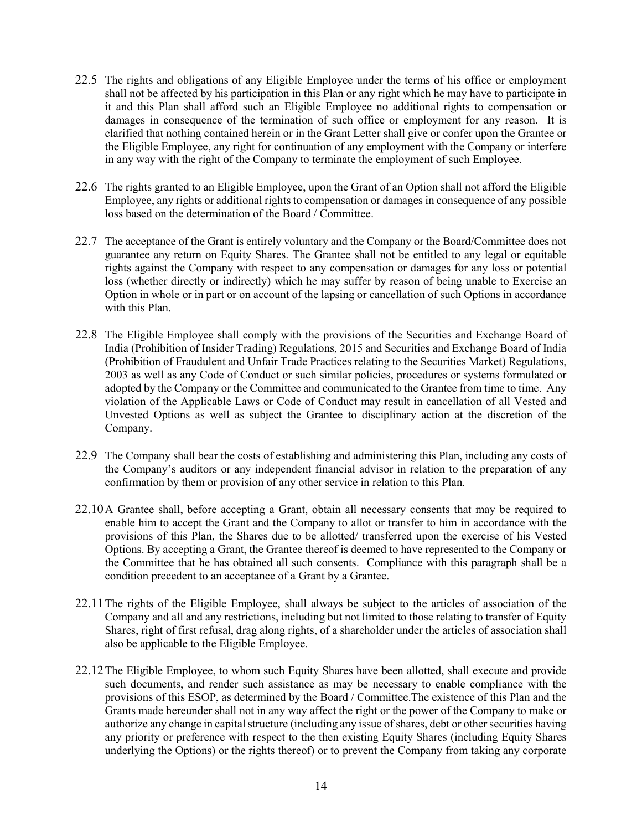- 22.5 The rights and obligations of any Eligible Employee under the terms of his office or employment shall not be affected by his participation in this Plan or any right which he may have to participate in it and this Plan shall afford such an Eligible Employee no additional rights to compensation or damages in consequence of the termination of such office or employment for any reason. It is clarified that nothing contained herein or in the Grant Letter shall give or confer upon the Grantee or the Eligible Employee, any right for continuation of any employment with the Company or interfere in any way with the right of the Company to terminate the employment of such Employee.
- 22.6 The rights granted to an Eligible Employee, upon the Grant of an Option shall not afford the Eligible Employee, any rights or additional rights to compensation or damages in consequence of any possible loss based on the determination of the Board / Committee.
- 22.7 The acceptance of the Grant is entirely voluntary and the Company or the Board/Committee does not guarantee any return on Equity Shares. The Grantee shall not be entitled to any legal or equitable rights against the Company with respect to any compensation or damages for any loss or potential loss (whether directly or indirectly) which he may suffer by reason of being unable to Exercise an Option in whole or in part or on account of the lapsing or cancellation of such Options in accordance with this Plan.
- 22.8 The Eligible Employee shall comply with the provisions of the Securities and Exchange Board of India (Prohibition of Insider Trading) Regulations, 2015 and Securities and Exchange Board of India (Prohibition of Fraudulent and Unfair Trade Practices relating to the Securities Market) Regulations, 2003 as well as any Code of Conduct or such similar policies, procedures or systems formulated or adopted by the Company or the Committee and communicated to the Grantee from time to time. Any violation of the Applicable Laws or Code of Conduct may result in cancellation of all Vested and Unvested Options as well as subject the Grantee to disciplinary action at the discretion of the Company.
- 22.9 The Company shall bear the costs of establishing and administering this Plan, including any costs of the Company's auditors or any independent financial advisor in relation to the preparation of any confirmation by them or provision of any other service in relation to this Plan.
- 22.10A Grantee shall, before accepting a Grant, obtain all necessary consents that may be required to enable him to accept the Grant and the Company to allot or transfer to him in accordance with the provisions of this Plan, the Shares due to be allotted/ transferred upon the exercise of his Vested Options. By accepting a Grant, the Grantee thereof is deemed to have represented to the Company or the Committee that he has obtained all such consents. Compliance with this paragraph shall be a condition precedent to an acceptance of a Grant by a Grantee.
- 22.11The rights of the Eligible Employee, shall always be subject to the articles of association of the Company and all and any restrictions, including but not limited to those relating to transfer of Equity Shares, right of first refusal, drag along rights, of a shareholder under the articles of association shall also be applicable to the Eligible Employee.
- 22.12The Eligible Employee, to whom such Equity Shares have been allotted, shall execute and provide such documents, and render such assistance as may be necessary to enable compliance with the provisions of this ESOP, as determined by the Board / Committee.The existence of this Plan and the Grants made hereunder shall not in any way affect the right or the power of the Company to make or authorize any change in capital structure (including any issue of shares, debt or other securities having any priority or preference with respect to the then existing Equity Shares (including Equity Shares underlying the Options) or the rights thereof) or to prevent the Company from taking any corporate